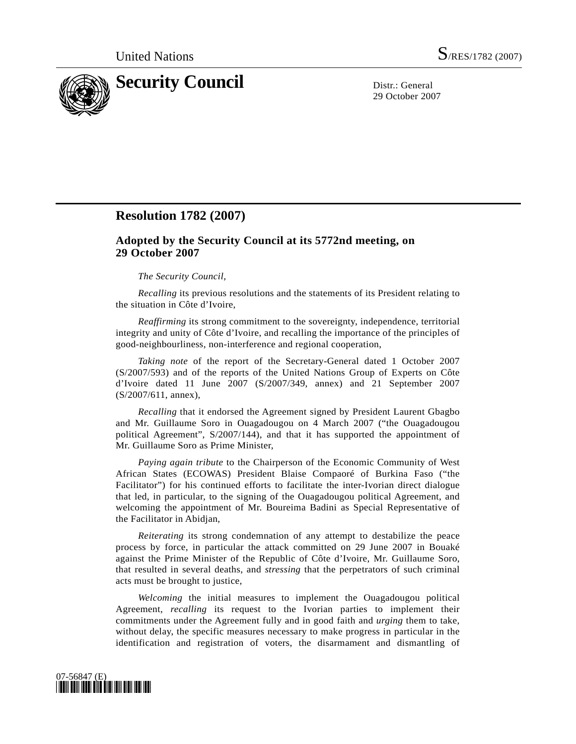

29 October 2007

## **Resolution 1782 (2007)**

## **Adopted by the Security Council at its 5772nd meeting, on 29 October 2007**

## *The Security Council*,

*Recalling* its previous resolutions and the statements of its President relating to the situation in Côte d'Ivoire,

*Reaffirming* its strong commitment to the sovereignty, independence, territorial integrity and unity of Côte d'Ivoire, and recalling the importance of the principles of good-neighbourliness, non-interference and regional cooperation,

*Taking note* of the report of the Secretary-General dated 1 October 2007 (S/2007/593) and of the reports of the United Nations Group of Experts on Côte d'Ivoire dated 11 June 2007 (S/2007/349, annex) and 21 September 2007 (S/2007/611, annex),

*Recalling* that it endorsed the Agreement signed by President Laurent Gbagbo and Mr. Guillaume Soro in Ouagadougou on 4 March 2007 ("the Ouagadougou political Agreement", S/2007/144), and that it has supported the appointment of Mr. Guillaume Soro as Prime Minister,

*Paying again tribute* to the Chairperson of the Economic Community of West African States (ECOWAS) President Blaise Compaoré of Burkina Faso ("the Facilitator") for his continued efforts to facilitate the inter-Ivorian direct dialogue that led, in particular, to the signing of the Ouagadougou political Agreement, and welcoming the appointment of Mr. Boureima Badini as Special Representative of the Facilitator in Abidjan,

*Reiterating* its strong condemnation of any attempt to destabilize the peace process by force, in particular the attack committed on 29 June 2007 in Bouaké against the Prime Minister of the Republic of Côte d'Ivoire, Mr. Guillaume Soro, that resulted in several deaths, and *stressing* that the perpetrators of such criminal acts must be brought to justice,

*Welcoming* the initial measures to implement the Ouagadougou political Agreement, *recalling* its request to the Ivorian parties to implement their commitments under the Agreement fully and in good faith and *urging* them to take, without delay, the specific measures necessary to make progress in particular in the identification and registration of voters, the disarmament and dismantling of

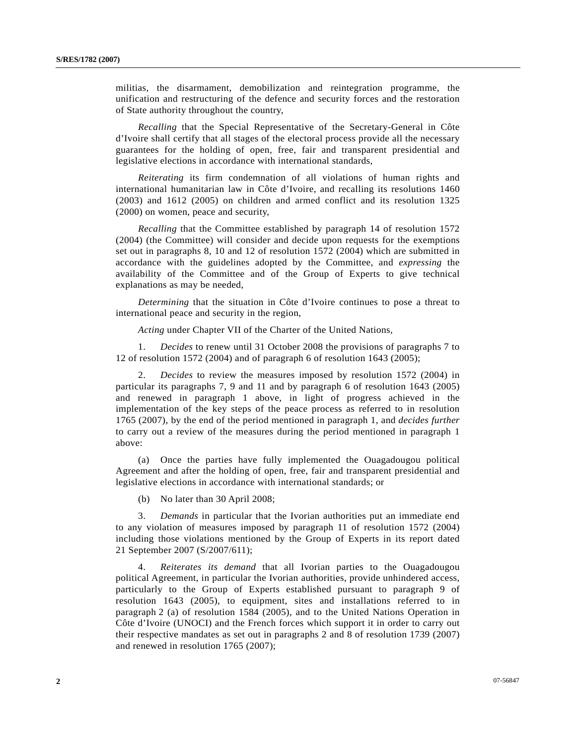militias, the disarmament, demobilization and reintegration programme, the unification and restructuring of the defence and security forces and the restoration of State authority throughout the country,

*Recalling* that the Special Representative of the Secretary-General in Côte d'Ivoire shall certify that all stages of the electoral process provide all the necessary guarantees for the holding of open, free, fair and transparent presidential and legislative elections in accordance with international standards,

*Reiterating* its firm condemnation of all violations of human rights and international humanitarian law in Côte d'Ivoire, and recalling its resolutions 1460 (2003) and 1612 (2005) on children and armed conflict and its resolution 1325 (2000) on women, peace and security,

*Recalling* that the Committee established by paragraph 14 of resolution 1572 (2004) (the Committee) will consider and decide upon requests for the exemptions set out in paragraphs 8, 10 and 12 of resolution 1572 (2004) which are submitted in accordance with the guidelines adopted by the Committee, and *expressing* the availability of the Committee and of the Group of Experts to give technical explanations as may be needed,

*Determining* that the situation in Côte d'Ivoire continues to pose a threat to international peace and security in the region,

*Acting* under Chapter VII of the Charter of the United Nations,

 1. *Decides* to renew until 31 October 2008 the provisions of paragraphs 7 to 12 of resolution 1572 (2004) and of paragraph 6 of resolution 1643 (2005);

 2. *Decides* to review the measures imposed by resolution 1572 (2004) in particular its paragraphs 7, 9 and 11 and by paragraph 6 of resolution 1643 (2005) and renewed in paragraph 1 above, in light of progress achieved in the implementation of the key steps of the peace process as referred to in resolution 1765 (2007), by the end of the period mentioned in paragraph 1, and *decides further* to carry out a review of the measures during the period mentioned in paragraph 1 above:

 (a) Once the parties have fully implemented the Ouagadougou political Agreement and after the holding of open, free, fair and transparent presidential and legislative elections in accordance with international standards; or

(b) No later than 30 April 2008;

 3. *Demands* in particular that the Ivorian authorities put an immediate end to any violation of measures imposed by paragraph 11 of resolution 1572 (2004) including those violations mentioned by the Group of Experts in its report dated 21 September 2007 (S/2007/611);

 4. *Reiterates its demand* that all Ivorian parties to the Ouagadougou political Agreement, in particular the Ivorian authorities, provide unhindered access, particularly to the Group of Experts established pursuant to paragraph 9 of resolution 1643 (2005), to equipment, sites and installations referred to in paragraph 2 (a) of resolution 1584 (2005), and to the United Nations Operation in Côte d'Ivoire (UNOCI) and the French forces which support it in order to carry out their respective mandates as set out in paragraphs 2 and 8 of resolution 1739 (2007) and renewed in resolution 1765 (2007);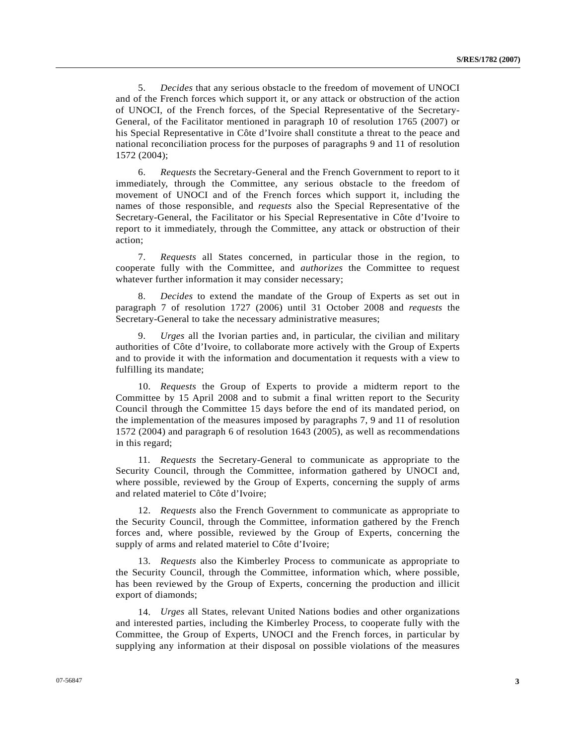5. *Decides* that any serious obstacle to the freedom of movement of UNOCI and of the French forces which support it, or any attack or obstruction of the action of UNOCI, of the French forces, of the Special Representative of the Secretary-General, of the Facilitator mentioned in paragraph 10 of resolution 1765 (2007) or his Special Representative in Côte d'Ivoire shall constitute a threat to the peace and national reconciliation process for the purposes of paragraphs 9 and 11 of resolution 1572 (2004);

 6. *Requests* the Secretary-General and the French Government to report to it immediately, through the Committee, any serious obstacle to the freedom of movement of UNOCI and of the French forces which support it, including the names of those responsible, and *requests* also the Special Representative of the Secretary-General, the Facilitator or his Special Representative in Côte d'Ivoire to report to it immediately, through the Committee, any attack or obstruction of their action;

 7. *Requests* all States concerned, in particular those in the region, to cooperate fully with the Committee, and *authorizes* the Committee to request whatever further information it may consider necessary;

 8. *Decides* to extend the mandate of the Group of Experts as set out in paragraph 7 of resolution 1727 (2006) until 31 October 2008 and *requests* the Secretary-General to take the necessary administrative measures;

 9. *Urges* all the Ivorian parties and, in particular, the civilian and military authorities of Côte d'Ivoire, to collaborate more actively with the Group of Experts and to provide it with the information and documentation it requests with a view to fulfilling its mandate;

 10. *Requests* the Group of Experts to provide a midterm report to the Committee by 15 April 2008 and to submit a final written report to the Security Council through the Committee 15 days before the end of its mandated period, on the implementation of the measures imposed by paragraphs 7, 9 and 11 of resolution 1572 (2004) and paragraph 6 of resolution 1643 (2005), as well as recommendations in this regard;

 11. *Requests* the Secretary-General to communicate as appropriate to the Security Council, through the Committee, information gathered by UNOCI and, where possible, reviewed by the Group of Experts, concerning the supply of arms and related materiel to Côte d'Ivoire;

 12. *Requests* also the French Government to communicate as appropriate to the Security Council, through the Committee, information gathered by the French forces and, where possible, reviewed by the Group of Experts, concerning the supply of arms and related materiel to Côte d'Ivoire;

 13. *Requests* also the Kimberley Process to communicate as appropriate to the Security Council, through the Committee, information which, where possible, has been reviewed by the Group of Experts, concerning the production and illicit export of diamonds;

 14. *Urges* all States, relevant United Nations bodies and other organizations and interested parties, including the Kimberley Process, to cooperate fully with the Committee, the Group of Experts, UNOCI and the French forces, in particular by supplying any information at their disposal on possible violations of the measures